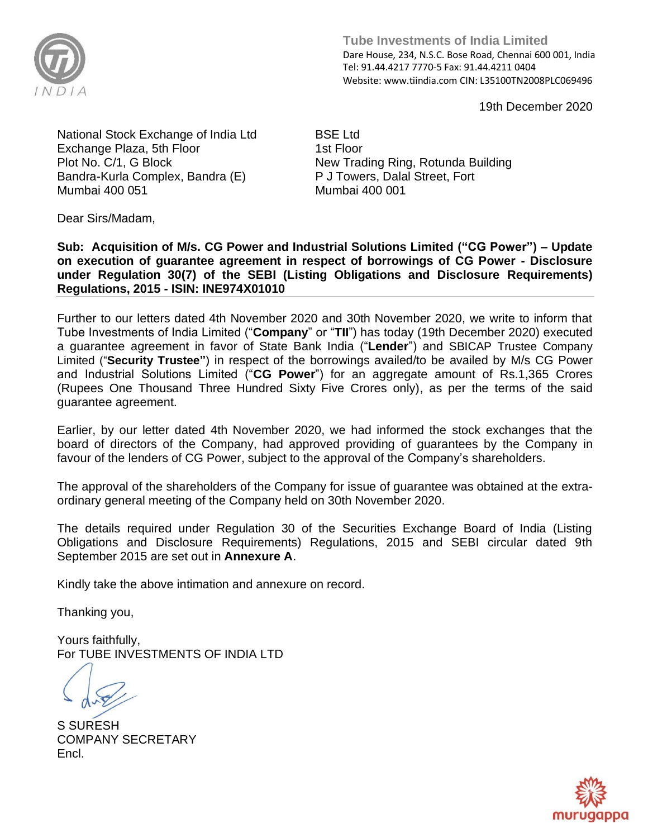

**Tube Investments of India Limited**  Dare House, 234, N.S.C. Bose Road, Chennai 600 001, India Tel: 91.44.4217 7770-5 Fax: 91.44.4211 0404 Website: www.tiindia.com CIN: L35100TN2008PLC069496

19th December 2020

National Stock Exchange of India Ltd Exchange Plaza, 5th Floor Plot No. C/1, G Block Bandra-Kurla Complex, Bandra (E) Mumbai 400 051

BSE Ltd 1st Floor New Trading Ring, Rotunda Building P J Towers, Dalal Street, Fort Mumbai 400 001

Dear Sirs/Madam,

**Sub: Acquisition of M/s. CG Power and Industrial Solutions Limited ("CG Power") – Update on execution of guarantee agreement in respect of borrowings of CG Power - Disclosure under Regulation 30(7) of the SEBI (Listing Obligations and Disclosure Requirements) Regulations, 2015 - ISIN: INE974X01010**

Further to our letters dated 4th November 2020 and 30th November 2020, we write to inform that Tube Investments of India Limited ("**Company**" or "**TII**") has today (19th December 2020) executed a guarantee agreement in favor of State Bank India ("**Lender**") and SBICAP Trustee Company Limited ("**Security Trustee"**) in respect of the borrowings availed/to be availed by M/s CG Power and Industrial Solutions Limited ("**CG Power**") for an aggregate amount of Rs.1,365 Crores (Rupees One Thousand Three Hundred Sixty Five Crores only), as per the terms of the said guarantee agreement.

Earlier, by our letter dated 4th November 2020, we had informed the stock exchanges that the board of directors of the Company, had approved providing of guarantees by the Company in favour of the lenders of CG Power, subject to the approval of the Company's shareholders.

The approval of the shareholders of the Company for issue of guarantee was obtained at the extraordinary general meeting of the Company held on 30th November 2020.

The details required under Regulation 30 of the Securities Exchange Board of India (Listing Obligations and Disclosure Requirements) Regulations, 2015 and SEBI circular dated 9th September 2015 are set out in **Annexure A**.

Kindly take the above intimation and annexure on record.

Thanking you,

Yours faithfully, For TUBE INVESTMENTS OF INDIA LTD

S SURESH COMPANY SECRETARY Encl.